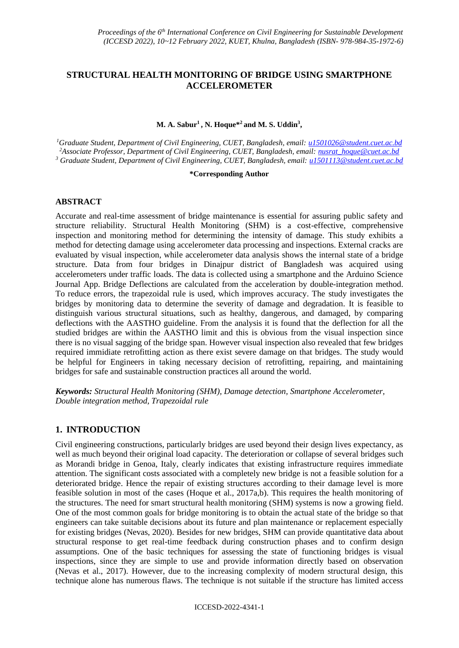# **STRUCTURAL HEALTH MONITORING OF BRIDGE USING SMARTPHONE ACCELEROMETER**

#### **M. A. Sabur<sup>1</sup> , N. Hoque\* <sup>2</sup> and M. S. Uddin<sup>3</sup> ,**

*<sup>1</sup>Graduate Student, Department of Civil Engineering, CUET, Bangladesh, email: [u1501026@student.cuet.ac.bd](mailto:u1501026@student.cuet.ac.bd)* <sup>2</sup>*Associate Professor, Department of Civil Engineering, CUET, Bangladesh, email: nusrat\_hoque@cuet.ac.bd <sup>3</sup> Graduate Student, Department of Civil Engineering, CUET, Bangladesh, email: [u1501113@student.cuet.ac.bd](mailto:u1501113@student.cuet.ac.bd)*

#### **\*Corresponding Author**

#### **ABSTRACT**

Accurate and real-time assessment of bridge maintenance is essential for assuring public safety and structure reliability. Structural Health Monitoring (SHM) is a cost-effective, comprehensive inspection and monitoring method for determining the intensity of damage. This study exhibits a method for detecting damage using accelerometer data processing and inspections. External cracks are evaluated by visual inspection, while accelerometer data analysis shows the internal state of a bridge structure. Data from four bridges in Dinajpur district of Bangladesh was acquired using accelerometers under traffic loads. The data is collected using a smartphone and the Arduino Science Journal App. Bridge Deflections are calculated from the acceleration by double-integration method. To reduce errors, the trapezoidal rule is used, which improves accuracy. The study investigates the bridges by monitoring data to determine the severity of damage and degradation. It is feasible to distinguish various structural situations, such as healthy, dangerous, and damaged, by comparing deflections with the AASTHO guideline. From the analysis it is found that the deflection for all the studied bridges are within the AASTHO limit and this is obvious from the visual inspection since there is no visual sagging of the bridge span. However visual inspection also revealed that few bridges required immidiate retrofitting action as there exist severe damage on that bridges. The study would be helpful for Engineers in taking necessary decision of retrofitting, repairing, and maintaining bridges for safe and sustainable construction practices all around the world.

*Keywords: Structural Health Monitoring (SHM), Damage detection, Smartphone Accelerometer, Double integration method, Trapezoidal rule*

#### **1. INTRODUCTION**

Civil engineering constructions, particularly bridges are used beyond their design lives expectancy, as well as much beyond their original load capacity. The deterioration or collapse of several bridges such as Morandi bridge in Genoa, Italy, clearly indicates that existing infrastructure requires immediate attention. The significant costs associated with a completely new bridge is not a feasible solution for a deteriorated bridge. Hence the repair of existing structures according to their damage level is more feasible solution in most of the cases (Hoque et al., 2017a,b). This requires the health monitoring of the structures. The need for smart structural health monitoring (SHM) systems is now a growing field. One of the most common goals for bridge monitoring is to obtain the actual state of the bridge so that engineers can take suitable decisions about its future and plan maintenance or replacement especially for existing bridges (Nevas, 2020). Besides for new bridges, SHM can provide quantitative data about structural response to get real-time feedback during construction phases and to confirm design assumptions. One of the basic techniques for assessing the state of functioning bridges is visual inspections, since they are simple to use and provide information directly based on observation (Nevas et al., 2017). However, due to the increasing complexity of modern structural design, this technique alone has numerous flaws. The technique is not suitable if the structure has limited access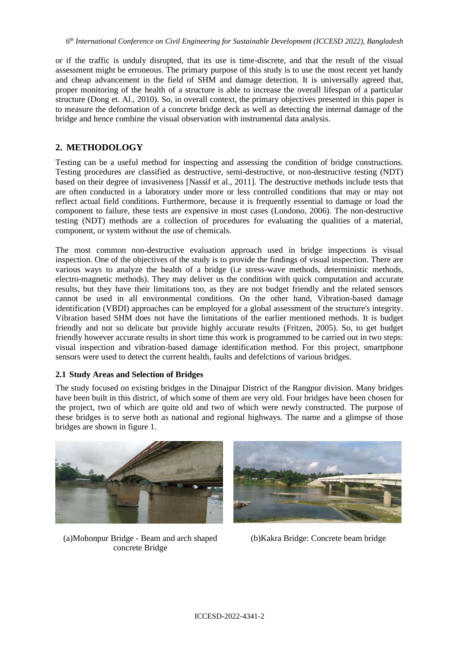or if the traffic is unduly disrupted, that its use is time-discrete, and that the result of the visual assessment might be erroneous. The primary purpose of this study is to use the most recent yet handy and cheap advancement in the field of SHM and damage detection. It is universally agreed that, proper monitoring of the health of a structure is able to increase the overall lifespan of a particular structure (Dong et. Al., 2010). So, in overall context, the primary objectives presented in this paper is to measure the deformation of a concrete bridge deck as well as detecting the internal damage of the bridge and hence combine the visual observation with instrumental data analysis.

# **2. METHODOLOGY**

Testing can be a useful method for inspecting and assessing the condition of bridge constructions. Testing procedures are classified as destructive, semi-destructive, or non-destructive testing (NDT) based on their degree of invasiveness [Nassif et al., 2011]. The destructive methods include tests that are often conducted in a laboratory under more or less controlled conditions that may or may not reflect actual field conditions. Furthermore, because it is frequently essential to damage or load the component to failure, these tests are expensive in most cases (Londono, 2006). The non-destructive testing (NDT) methods are a collection of procedures for evaluating the qualities of a material, component, or system without the use of chemicals.

The most common non-destructive evaluation approach used in bridge inspections is visual inspection. One of the objectives of the study is to provide the findings of visual inspection. There are various ways to analyze the health of a bridge (i.e stress-wave methods, deterministic methods, electro-magnetic methods). They may deliver us the condition with quick computation and accurate results, but they have their limitations too, as they are not budget friendly and the related sensors cannot be used in all environmental conditions. On the other hand, Vibration-based damage identification (VBDI) approaches can be employed for a global assessment of the structure's integrity. Vibration based SHM does not have the limitations of the earlier mentioned methods. It is budget friendly and not so delicate but provide highly accurate results (Fritzen, 2005). So, to get budget friendly however accurate results in short time this work is programmed to be carried out in two steps: visual inspection and vibration-based damage identification method. For this project, smartphone sensors were used to detect the current health, faults and defelctions of various bridges.

#### **2.1 Study Areas and Selection of Bridges**

The study focused on existing bridges in the Dinajpur District of the Rangpur division. Many bridges have been built in this district, of which some of them are very old. Four bridges have been chosen for the project, two of which are quite old and two of which were newly constructed. The purpose of these bridges is to serve both as national and regional highways. The name and a glimpse of those bridges are shown in figure 1.



(a)Mohonpur Bridge - Beam and arch shaped concrete Bridge



(b)Kakra Bridge: Concrete beam bridge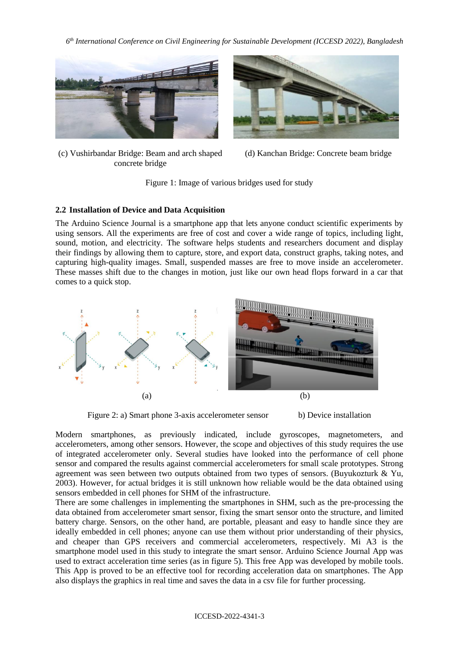

(c) Vushirbandar Bridge: Beam and arch shaped concrete bridge



(d) Kanchan Bridge: Concrete beam bridge

Figure 1: Image of various bridges used for study

## **2.2 Installation of Device and Data Acquisition**

The Arduino Science Journal is a smartphone app that lets anyone conduct scientific experiments by using sensors. All the experiments are free of cost and cover a wide range of topics, including light, sound, motion, and electricity. The software helps students and researchers document and display their findings by allowing them to capture, store, and export data, construct graphs, taking notes, and capturing high-quality images. Small, suspended masses are free to move inside an accelerometer. These masses shift due to the changes in motion, just like our own head flops forward in a car that comes to a quick stop.



Figure 2: a) Smart phone 3-axis accelerometer sensor b) Device installation

Modern smartphones, as previously indicated, include gyroscopes, magnetometers, and accelerometers, among other sensors. However, the scope and objectives of this study requires the use of integrated accelerometer only. Several studies have looked into the performance of cell phone sensor and compared the results against commercial accelerometers for small scale prototypes. Strong agreement was seen between two outputs obtained from two types of sensors. (Buyukozturk & Yu, 2003). However, for actual bridges it is still unknown how reliable would be the data obtained using sensors embedded in cell phones for SHM of the infrastructure.

There are some challenges in implementing the smartphones in SHM, such as the pre-processing the data obtained from accelerometer smart sensor, fixing the smart sensor onto the structure, and limited battery charge. Sensors, on the other hand, are portable, pleasant and easy to handle since they are ideally embedded in cell phones; anyone can use them without prior understanding of their physics, and cheaper than GPS receivers and commercial accelerometers, respectively. Mi A3 is the smartphone model used in this study to integrate the smart sensor. Arduino Science Journal App was used to extract acceleration time series (as in figure 5). This free App was developed by mobile tools. This App is proved to be an effective tool for recording acceleration data on smartphones. The App also displays the graphics in real time and saves the data in a csv file for further processing.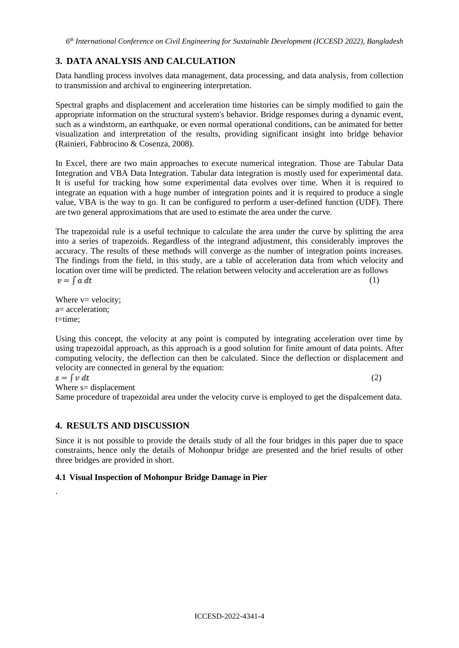# **3. DATA ANALYSIS AND CALCULATION**

Data handling process involves data management, data processing, and data analysis, from collection to transmission and archival to engineering interpretation.

Spectral graphs and displacement and acceleration time histories can be simply modified to gain the appropriate information on the structural system's behavior. Bridge responses during a dynamic event, such as a windstorm, an earthquake, or even normal operational conditions, can be animated for better visualization and interpretation of the results, providing significant insight into bridge behavior (Rainieri, Fabbrocino & Cosenza, 2008).

In Excel, there are two main approaches to execute numerical integration. Those are Tabular Data Integration and VBA Data Integration. Tabular data integration is mostly used for experimental data. It is useful for tracking how some experimental data evolves over time. When it is required to integrate an equation with a huge number of integration points and it is required to produce a single value, VBA is the way to go. It can be configured to perform a user-defined function (UDF). There are two general approximations that are used to estimate the area under the curve.

The trapezoidal rule is a useful technique to calculate the area under the curve by splitting the area into a series of trapezoids. Regardless of the integrand adjustment, this considerably improves the accuracy. The results of these methods will converge as the number of integration points increases. The findings from the field, in this study, are a table of acceleration data from which velocity and location over time will be predicted. The relation between velocity and acceleration are as follows  $v = \int a \, dt$ (1)

Where  $v=$  velocity; a= acceleration; t=time;

Using this concept, the velocity at any point is computed by integrating acceleration over time by using trapezoidal approach, as this approach is a good solution for finite amount of data points. After computing velocity, the deflection can then be calculated. Since the deflection or displacement and velocity are connected in general by the equation:

 $s = \int v dt$ 

.

 $(2)$ 

Where  $s=$  displacement

Same procedure of trapezoidal area under the velocity curve is employed to get the dispalcement data.

# **4. RESULTS AND DISCUSSION**

Since it is not possible to provide the details study of all the four bridges in this paper due to space constraints, hence only the details of Mohonpur bridge are presented and the brief results of other three bridges are provided in short.

#### **4.1 Visual Inspection of Mohonpur Bridge Damage in Pier**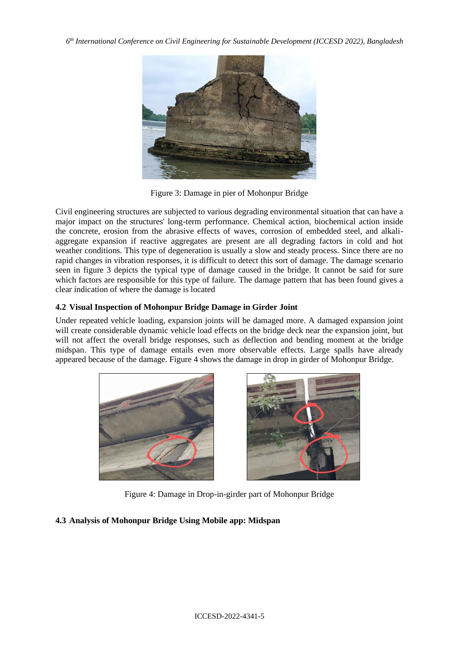

Figure 3: Damage in pier of Mohonpur Bridge

Civil engineering structures are subjected to various degrading environmental situation that can have a major impact on the structures' long-term performance. Chemical action, biochemical action inside the concrete, erosion from the abrasive effects of waves, corrosion of embedded steel, and alkaliaggregate expansion if reactive aggregates are present are all degrading factors in cold and hot weather conditions. This type of degeneration is usually a slow and steady process. Since there are no rapid changes in vibration responses, it is difficult to detect this sort of damage. The damage scenario seen in figure 3 depicts the typical type of damage caused in the bridge. It cannot be said for sure which factors are responsible for this type of failure. The damage pattern that has been found gives a clear indication of where the damage is located

## **4.2 Visual Inspection of Mohonpur Bridge Damage in Girder Joint**

Under repeated vehicle loading, expansion joints will be damaged more. A damaged expansion joint will create considerable dynamic vehicle load effects on the bridge deck near the expansion joint, but will not affect the overall bridge responses, such as deflection and bending moment at the bridge midspan. This type of damage entails even more observable effects. Large spalls have already appeared because of the damage. Figure 4 shows the damage in drop in girder of Mohonpur Bridge.





Figure 4: Damage in Drop-in-girder part of Mohonpur Bridge

# **4.3 Analysis of Mohonpur Bridge Using Mobile app: Midspan**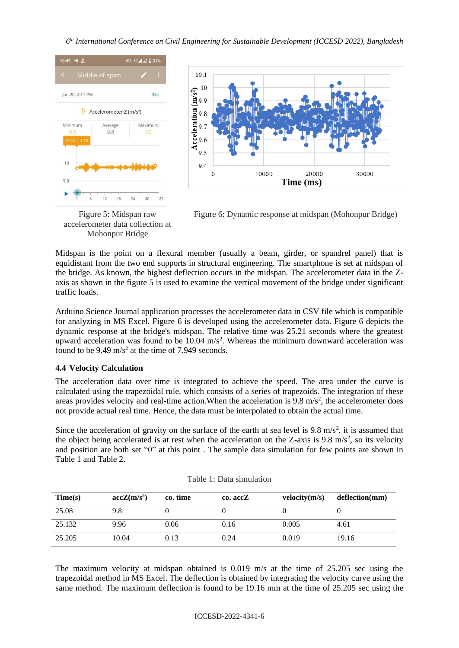



Figure 5: Midspan raw accelerometer data collection at Mohonpur Bridge

Figure 6: Dynamic response at midspan (Mohonpur Bridge)

Midspan is the point on a flexural member (usually a beam, girder, or spandrel panel) that is equidistant from the two end supports in structural engineering. The smartphone is set at midspan of the bridge. As known, the highest deflection occurs in the midspan. The accelerometer data in the Zaxis as shown in the figure 5 is used to examine the vertical movement of the bridge under significant traffic loads.

Arduino Science Journal application processes the accelerometer data in CSV file which is compatible for analyzing in MS Excel. Figure 6 is developed using the accelerometer data. Figure 6 depicts the dynamic response at the bridge's midspan. The relative time was 25.21 seconds where the greatest upward acceleration was found to be  $10.04 \text{ m/s}^2$ . Whereas the minimum downward acceleration was found to be  $9.49 \text{ m/s}^2$  at the time of 7.949 seconds.

#### **4.4 Velocity Calculation**

The acceleration data over time is integrated to achieve the speed. The area under the curve is calculated using the trapezoidal rule, which consists of a series of trapezoids. The integration of these areas provides velocity and real-time action. When the acceleration is  $9.8 \text{ m/s}^2$ , the accelerometer does not provide actual real time. Hence, the data must be interpolated to obtain the actual time.

Since the acceleration of gravity on the surface of the earth at sea level is  $9.8 \text{ m/s}^2$ , it is assumed that the object being accelerated is at rest when the acceleration on the Z-axis is  $9.8 \text{ m/s}^2$ , so its velocity and position are both set "0" at this point . The sample data simulation for few points are shown in Table 1 and Table 2.

| Time(s) | $accZ(m/s^2)$ | co. time | co. accZ | velocity(m/s) | deflection(mm) |
|---------|---------------|----------|----------|---------------|----------------|
| 25.08   | 9.8           |          |          |               |                |
| 25.132  | 9.96          | 0.06     | 0.16     | 0.005         | 4.61           |
| 25.205  | 10.04         | 0.13     | 0.24     | 0.019         | 19.16          |

The maximum velocity at midspan obtained is 0.019 m/s at the time of 25.205 sec using the trapezoidal method in MS Excel. The deflection is obtained by integrating the velocity curve using the same method. The maximum deflection is found to be 19.16 mm at the time of 25.205 sec using the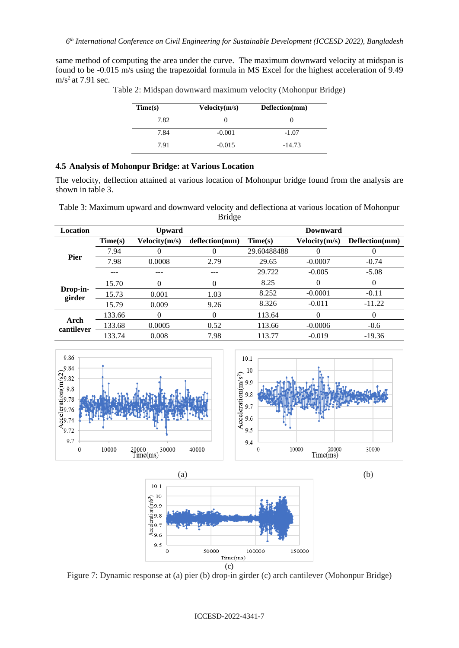same method of computing the area under the curve. The maximum downward velocity at midspan is found to be -0.015 m/s using the trapezoidal formula in MS Excel for the highest acceleration of 9.49  $m/s<sup>2</sup>$  at 7.91 sec.

| Time(s) | Velocity(m/s) | Deflection(mm) |
|---------|---------------|----------------|
| 7.82    |               |                |
| 7.84    | $-0.001$      | $-1.07$        |
| 7.91    | $-0.015$      | $-14.73$       |

Table 2: Midspan downward maximum velocity (Mohonpur Bridge)

## **4.5 Analysis of Mohonpur Bridge: at Various Location**

The velocity, deflection attained at various location of Mohonpur bridge found from the analysis are shown in table 3.

Table 3: Maximum upward and downward velocity and deflectiona at various location of Mohonpur Bridge

| Location           |         | <b>Upward</b> |                |             | <b>Downward</b> |                |
|--------------------|---------|---------------|----------------|-------------|-----------------|----------------|
|                    | Time(s) | Velocity(m/s) | deflection(mm) | Time(s)     | Velocity(m/s)   | Deflection(mm) |
|                    | 7.94    | 0             | 0              | 29.60488488 | $\Omega$        | $\theta$       |
| <b>Pier</b>        | 7.98    | 0.0008        | 2.79           | 29.65       | $-0.0007$       | $-0.74$        |
|                    |         | ---           | ---            | 29.722      | $-0.005$        | $-5.08$        |
|                    | 15.70   | 0             | 0              | 8.25        | $\Omega$        | $\Omega$       |
| Drop-in-<br>girder | 15.73   | 0.001         | 1.03           | 8.252       | $-0.0001$       | $-0.11$        |
|                    | 15.79   | 0.009         | 9.26           | 8.326       | $-0.011$        | $-11.22$       |
| Arch<br>cantilever | 133.66  | 0             | $\theta$       | 113.64      | $\Omega$        | $\Omega$       |
|                    | 133.68  | 0.0005        | 0.52           | 113.66      | $-0.0006$       | $-0.6$         |
|                    | 133.74  | 0.008         | 7.98           | 113.77      | $-0.019$        | $-19.36$       |





Figure 7: Dynamic response at (a) pier (b) drop-in girder (c) arch cantilever (Mohonpur Bridge)

#### ICCESD-2022-4341-7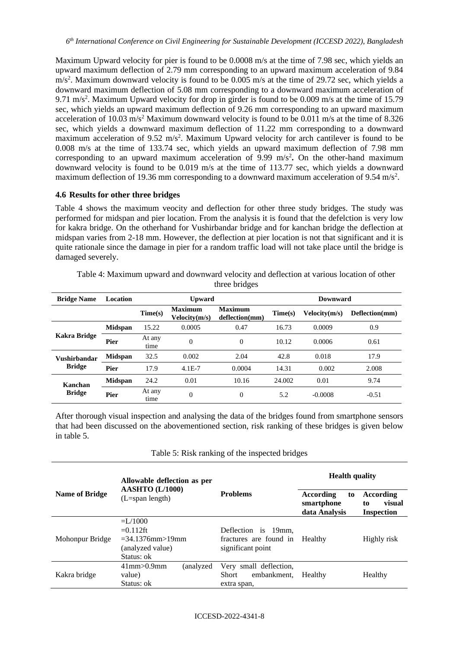Maximum Upward velocity for pier is found to be 0.0008 m/s at the time of 7.98 sec, which yields an upward maximum deflection of 2.79 mm corresponding to an upward maximum acceleration of 9.84 m/s<sup>2</sup>. Maximum downward velocity is found to be 0.005 m/s at the time of 29.72 sec, which yields a downward maximum deflection of 5.08 mm corresponding to a downward maximum acceleration of 9.71 m/s<sup>2</sup>. Maximum Upward velocity for drop in girder is found to be 0.009 m/s at the time of 15.79 sec, which yields an upward maximum deflection of 9.26 mm corresponding to an upward maximum acceleration of 10.03 m/s<sup>2</sup> Maximum downward velocity is found to be 0.011 m/s at the time of 8.326 sec, which yields a downward maximum deflection of 11.22 mm corresponding to a downward maximum acceleration of 9.52 m/s<sup>2</sup>. Maximum Upward velocity for arch cantilever is found to be 0.008 m/s at the time of 133.74 sec, which yields an upward maximum deflection of 7.98 mm corresponding to an upward maximum acceleration of 9.99 m/s<sup>2</sup>. On the other-hand maximum downward velocity is found to be 0.019 m/s at the time of 113.77 sec, which yields a downward maximum deflection of 19.36 mm corresponding to a downward maximum acceleration of 9.54 m/s<sup>2</sup>.

#### **4.6 Results for other three bridges**

Table 4 shows the maximum veocity and deflection for other three study bridges. The study was performed for midspan and pier location. From the analysis it is found that the defelction is very low for kakra bridge. On the otherhand for Vushirbandar bridge and for kanchan bridge the deflection at midspan varies from 2-18 mm. However, the deflection at pier location is not that significant and it is quite rationale since the damage in pier for a random traffic load will not take place until the bridge is damaged severely.

| <b>Bridge Name</b>                   | Location       | <b>Upward</b>  |                                 |                                  | Downward |               |                |
|--------------------------------------|----------------|----------------|---------------------------------|----------------------------------|----------|---------------|----------------|
|                                      |                | Time(s)        | <b>Maximum</b><br>Velocity(m/s) | <b>Maximum</b><br>deflection(mm) | Time(s)  | Velocity(m/s) | Deflection(mm) |
| Kakra Bridge                         | <b>Midspan</b> | 15.22          | 0.0005                          | 0.47                             | 16.73    | 0.0009        | 0.9            |
|                                      | Pier           | At any<br>time | $\Omega$                        | $\overline{0}$                   | 10.12    | 0.0006        | 0.61           |
| <b>Vushirbandar</b><br><b>Bridge</b> | <b>Midspan</b> | 32.5           | 0.002                           | 2.04                             | 42.8     | 0.018         | 17.9           |
|                                      | Pier           | 17.9           | $4.1E-7$                        | 0.0004                           | 14.31    | 0.002         | 2.008          |
| Kanchan<br><b>Bridge</b>             | <b>Midspan</b> | 24.2           | 0.01                            | 10.16                            | 24,002   | 0.01          | 9.74           |
|                                      | Pier           | At any<br>time | $\theta$                        | $\theta$                         | 5.2      | $-0.0008$     | $-0.51$        |

Table 4: Maximum upward and downward velocity and deflection at various location of other three bridges

After thorough visual inspection and analysing the data of the bridges found from smartphone sensors that had been discussed on the abovementioned section, risk ranking of these bridges is given below in table 5.

|                       | Allowable deflection as per                                                           |                                                                      | <b>Health quality</b>                                 |                                                |
|-----------------------|---------------------------------------------------------------------------------------|----------------------------------------------------------------------|-------------------------------------------------------|------------------------------------------------|
| <b>Name of Bridge</b> | <b>AASHTO</b> (L/1000)<br>$(L=span length)$                                           | <b>Problems</b>                                                      | <b>According</b><br>to<br>smartphone<br>data Analysis | According<br>visual<br>to<br><b>Inspection</b> |
| Mohonpur Bridge       | $= L/1000$<br>$=0.112$ ft<br>$=34.1376$ mm $>19$ mm<br>(analyzed value)<br>Status: ok | Deflection is 19mm.<br>fractures are found in<br>significant point   | Healthy                                               | Highly risk                                    |
| Kakra bridge          | $41$ mm $> 0.9$ mm<br>(analyzed<br>value)<br>Status: ok                               | Very small deflection,<br>embankment.<br><b>Short</b><br>extra span, | Healthy                                               | Healthy                                        |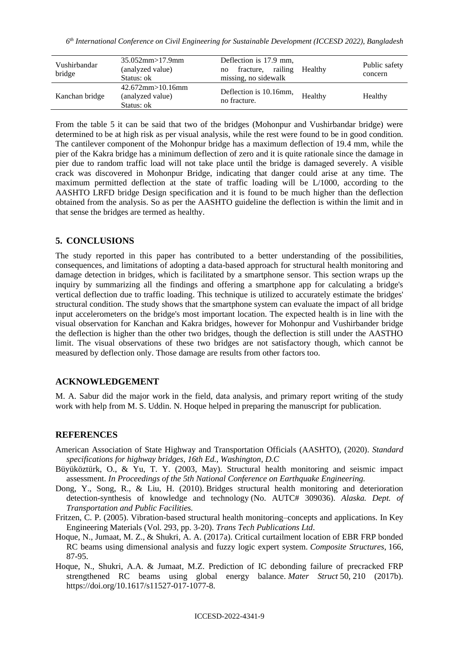| Vushirbandar<br>bridge | $35.052$ mm $>17.9$ mm<br>(analyzed value)<br>Status: ok  | Deflection is 17.9 mm,<br>railing<br>Healthy<br>fracture,<br>no<br>missing, no sidewalk | Public safety<br>concern |
|------------------------|-----------------------------------------------------------|-----------------------------------------------------------------------------------------|--------------------------|
| Kanchan bridge         | $42.672$ mm $>10.16$ mm<br>(analyzed value)<br>Status: ok | Deflection is 10.16mm,<br>Healthy<br>no fracture.                                       | Healthy                  |

From the table 5 it can be said that two of the bridges (Mohonpur and Vushirbandar bridge) were determined to be at high risk as per visual analysis, while the rest were found to be in good condition. The cantilever component of the Mohonpur bridge has a maximum deflection of 19.4 mm, while the pier of the Kakra bridge has a minimum deflection of zero and it is quite rationale since the damage in pier due to random traffic load will not take place until the bridge is damaged severely. A visible crack was discovered in Mohonpur Bridge, indicating that danger could arise at any time. The maximum permitted deflection at the state of traffic loading will be L/1000, according to the AASHTO LRFD bridge Design specification and it is found to be much higher than the deflection obtained from the analysis. So as per the AASHTO guideline the deflection is within the limit and in that sense the bridges are termed as healthy.

# **5. CONCLUSIONS**

The study reported in this paper has contributed to a better understanding of the possibilities, consequences, and limitations of adopting a data-based approach for structural health monitoring and damage detection in bridges, which is facilitated by a smartphone sensor. This section wraps up the inquiry by summarizing all the findings and offering a smartphone app for calculating a bridge's vertical deflection due to traffic loading. This technique is utilized to accurately estimate the bridges' structural condition. The study shows that the smartphone system can evaluate the impact of all bridge input accelerometers on the bridge's most important location. The expected health is in line with the visual observation for Kanchan and Kakra bridges, however for Mohonpur and Vushirbander bridge the deflection is higher than the other two bridges, though the deflection is still under the AASTHO limit. The visual observations of these two bridges are not satisfactory though, which cannot be measured by deflection only. Those damage are results from other factors too.

# **ACKNOWLEDGEMENT**

M. A. Sabur did the major work in the field, data analysis, and primary report writing of the study work with help from M. S. Uddin. N. Hoque helped in preparing the manuscript for publication.

#### **REFERENCES**

- American Association of State Highway and Transportation Officials (AASHTO), (2020). *Standard specifications for highway bridges, 16th Ed., Washington, D.C*
- Büyüköztürk, O., & Yu, T. Y. (2003, May). Structural health monitoring and seismic impact assessment. *In Proceedings of the 5th National Conference on Earthquake Engineering.*
- Dong, Y., Song, R., & Liu, H. (2010). Bridges structural health monitoring and deterioration detection-synthesis of knowledge and technology (No. AUTC# 309036). *Alaska. Dept. of Transportation and Public Facilities.*
- Fritzen, C. P. (2005). Vibration-based structural health monitoring–concepts and applications. In Key Engineering Materials (Vol. 293, pp. 3-20). *Trans Tech Publications Ltd*.
- Hoque, N., Jumaat, M. Z., & Shukri, A. A. (2017a). Critical curtailment location of EBR FRP bonded RC beams using dimensional analysis and fuzzy logic expert system. *Composite Structures*, 166, 87-95.
- Hoque, N., Shukri, A.A. & Jumaat, M.Z. Prediction of IC debonding failure of precracked FRP strengthened RC beams using global energy balance*. Mater Struct* 50, 210 (2017b). https://doi.org/10.1617/s11527-017-1077-8.